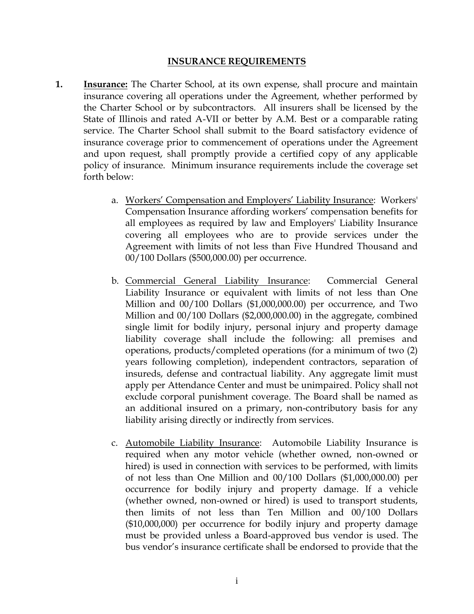## **INSURANCE REQUIREMENTS**

- **1. Insurance:** The Charter School, at its own expense, shall procure and maintain insurance covering all operations under the Agreement, whether performed by the Charter School or by subcontractors. All insurers shall be licensed by the State of Illinois and rated A-VII or better by A.M. Best or a comparable rating service. The Charter School shall submit to the Board satisfactory evidence of insurance coverage prior to commencement of operations under the Agreement and upon request, shall promptly provide a certified copy of any applicable policy of insurance. Minimum insurance requirements include the coverage set forth below:
	- a. Workers' Compensation and Employers' Liability Insurance: Workers' Compensation Insurance affording workers' compensation benefits for all employees as required by law and Employers' Liability Insurance covering all employees who are to provide services under the Agreement with limits of not less than Five Hundred Thousand and 00/100 Dollars (\$500,000.00) per occurrence.
	- b. Commercial General Liability Insurance: Commercial General Liability Insurance or equivalent with limits of not less than One Million and 00/100 Dollars (\$1,000,000.00) per occurrence, and Two Million and 00/100 Dollars (\$2,000,000.00) in the aggregate, combined single limit for bodily injury, personal injury and property damage liability coverage shall include the following: all premises and operations, products/completed operations (for a minimum of two (2) years following completion), independent contractors, separation of insureds, defense and contractual liability. Any aggregate limit must apply per Attendance Center and must be unimpaired. Policy shall not exclude corporal punishment coverage. The Board shall be named as an additional insured on a primary, non-contributory basis for any liability arising directly or indirectly from services.
	- c. Automobile Liability Insurance: Automobile Liability Insurance is required when any motor vehicle (whether owned, non-owned or hired) is used in connection with services to be performed, with limits of not less than One Million and 00/100 Dollars (\$1,000,000.00) per occurrence for bodily injury and property damage. If a vehicle (whether owned, non-owned or hired) is used to transport students, then limits of not less than Ten Million and 00/100 Dollars (\$10,000,000) per occurrence for bodily injury and property damage must be provided unless a Board-approved bus vendor is used. The bus vendor's insurance certificate shall be endorsed to provide that the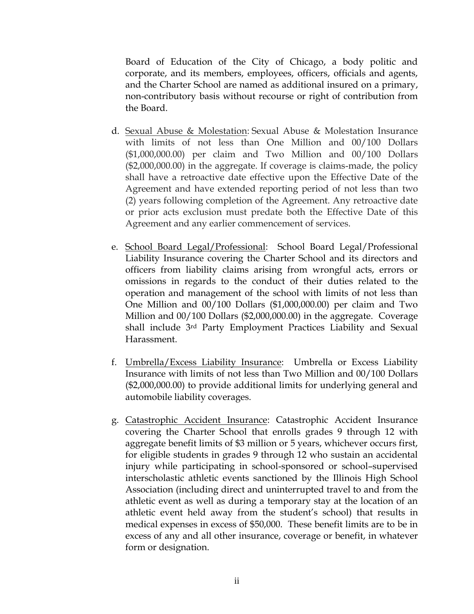Board of Education of the City of Chicago, a body politic and corporate, and its members, employees, officers, officials and agents, and the Charter School are named as additional insured on a primary, non-contributory basis without recourse or right of contribution from the Board.

- d. Sexual Abuse & Molestation: Sexual Abuse & Molestation Insurance with limits of not less than One Million and 00/100 Dollars (\$1,000,000.00) per claim and Two Million and 00/100 Dollars (\$2,000,000.00) in the aggregate. If coverage is claims-made, the policy shall have a retroactive date effective upon the Effective Date of the Agreement and have extended reporting period of not less than two (2) years following completion of the Agreement. Any retroactive date or prior acts exclusion must predate both the Effective Date of this Agreement and any earlier commencement of services.
- e. School Board Legal/Professional: School Board Legal/Professional Liability Insurance covering the Charter School and its directors and officers from liability claims arising from wrongful acts, errors or omissions in regards to the conduct of their duties related to the operation and management of the school with limits of not less than One Million and 00/100 Dollars (\$1,000,000.00) per claim and Two Million and 00/100 Dollars (\$2,000,000.00) in the aggregate. Coverage shall include 3rd Party Employment Practices Liability and Sexual Harassment.
- f. Umbrella/Excess Liability Insurance: Umbrella or Excess Liability Insurance with limits of not less than Two Million and 00/100 Dollars (\$2,000,000.00) to provide additional limits for underlying general and automobile liability coverages.
- g. Catastrophic Accident Insurance: Catastrophic Accident Insurance covering the Charter School that enrolls grades 9 through 12 with aggregate benefit limits of \$3 million or 5 years, whichever occurs first, for eligible students in grades 9 through 12 who sustain an accidental injury while participating in school-sponsored or school–supervised interscholastic athletic events sanctioned by the Illinois High School Association (including direct and uninterrupted travel to and from the athletic event as well as during a temporary stay at the location of an athletic event held away from the student's school) that results in medical expenses in excess of \$50,000. These benefit limits are to be in excess of any and all other insurance, coverage or benefit, in whatever form or designation.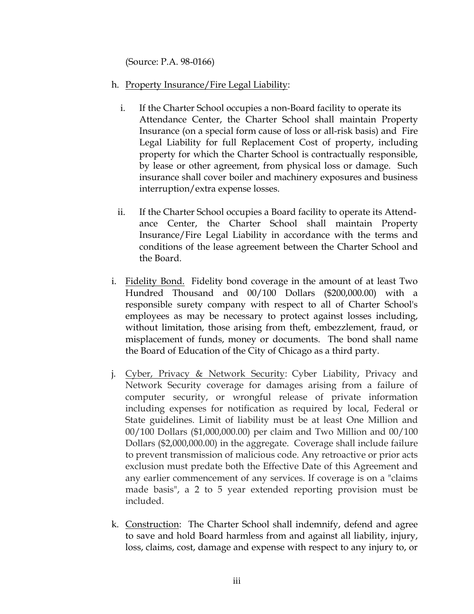(Source: P.A. 98-0166)

- h. Property Insurance/Fire Legal Liability:
	- i. If the Charter School occupies a non-Board facility to operate its Attendance Center, the Charter School shall maintain Property Insurance (on a special form cause of loss or all-risk basis) and Fire Legal Liability for full Replacement Cost of property, including property for which the Charter School is contractually responsible, by lease or other agreement, from physical loss or damage. Such insurance shall cover boiler and machinery exposures and business interruption/extra expense losses.
	- ii. If the Charter School occupies a Board facility to operate its Attendance Center, the Charter School shall maintain Property Insurance/Fire Legal Liability in accordance with the terms and conditions of the lease agreement between the Charter School and the Board.
- i. Fidelity Bond. Fidelity bond coverage in the amount of at least Two Hundred Thousand and 00/100 Dollars (\$200,000.00) with a responsible surety company with respect to all of Charter School's employees as may be necessary to protect against losses including, without limitation, those arising from theft, embezzlement, fraud, or misplacement of funds, money or documents. The bond shall name the Board of Education of the City of Chicago as a third party.
- j. Cyber, Privacy & Network Security: Cyber Liability, Privacy and Network Security coverage for damages arising from a failure of computer security, or wrongful release of private information including expenses for notification as required by local, Federal or State guidelines. Limit of liability must be at least One Million and 00/100 Dollars (\$1,000,000.00) per claim and Two Million and 00/100 Dollars (\$2,000,000.00) in the aggregate. Coverage shall include failure to prevent transmission of malicious code. Any retroactive or prior acts exclusion must predate both the Effective Date of this Agreement and any earlier commencement of any services. If coverage is on a "claims made basis", a 2 to 5 year extended reporting provision must be included.
- k. Construction: The Charter School shall indemnify, defend and agree to save and hold Board harmless from and against all liability, injury, loss, claims, cost, damage and expense with respect to any injury to, or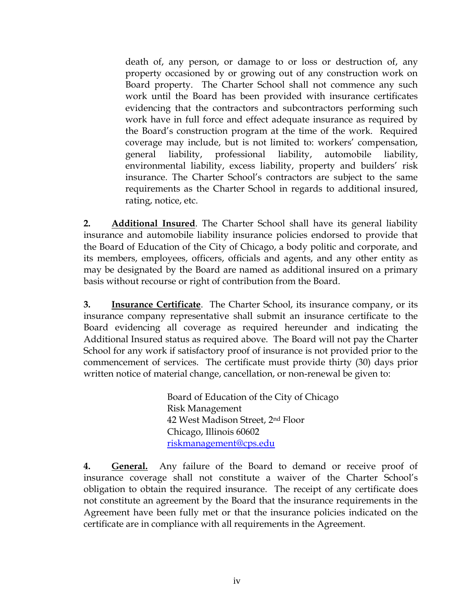death of, any person, or damage to or loss or destruction of, any property occasioned by or growing out of any construction work on Board property. The Charter School shall not commence any such work until the Board has been provided with insurance certificates evidencing that the contractors and subcontractors performing such work have in full force and effect adequate insurance as required by the Board's construction program at the time of the work. Required coverage may include, but is not limited to: workers' compensation, general liability, professional liability, automobile liability, environmental liability, excess liability, property and builders' risk insurance. The Charter School's contractors are subject to the same requirements as the Charter School in regards to additional insured, rating, notice, etc.

**2. Additional Insured**. The Charter School shall have its general liability insurance and automobile liability insurance policies endorsed to provide that the Board of Education of the City of Chicago, a body politic and corporate, and its members, employees, officers, officials and agents, and any other entity as may be designated by the Board are named as additional insured on a primary basis without recourse or right of contribution from the Board.

**3. Insurance Certificate**. The Charter School, its insurance company, or its insurance company representative shall submit an insurance certificate to the Board evidencing all coverage as required hereunder and indicating the Additional Insured status as required above. The Board will not pay the Charter School for any work if satisfactory proof of insurance is not provided prior to the commencement of services. The certificate must provide thirty (30) days prior written notice of material change, cancellation, or non-renewal be given to:

> Board of Education of the City of Chicago Risk Management 42 West Madison Street, 2nd Floor Chicago, Illinois 60602 [riskmanagement@cps.edu](mailto:riskmanagement@cps.edu)

**4. General.** Any failure of the Board to demand or receive proof of insurance coverage shall not constitute a waiver of the Charter School's obligation to obtain the required insurance. The receipt of any certificate does not constitute an agreement by the Board that the insurance requirements in the Agreement have been fully met or that the insurance policies indicated on the certificate are in compliance with all requirements in the Agreement.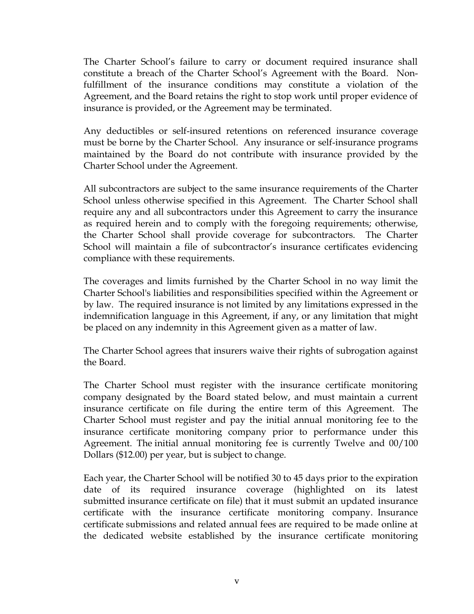The Charter School's failure to carry or document required insurance shall constitute a breach of the Charter School's Agreement with the Board. Nonfulfillment of the insurance conditions may constitute a violation of the Agreement, and the Board retains the right to stop work until proper evidence of insurance is provided, or the Agreement may be terminated.

Any deductibles or self-insured retentions on referenced insurance coverage must be borne by the Charter School. Any insurance or self-insurance programs maintained by the Board do not contribute with insurance provided by the Charter School under the Agreement.

All subcontractors are subject to the same insurance requirements of the Charter School unless otherwise specified in this Agreement. The Charter School shall require any and all subcontractors under this Agreement to carry the insurance as required herein and to comply with the foregoing requirements; otherwise, the Charter School shall provide coverage for subcontractors. The Charter School will maintain a file of subcontractor's insurance certificates evidencing compliance with these requirements.

The coverages and limits furnished by the Charter School in no way limit the Charter School's liabilities and responsibilities specified within the Agreement or by law. The required insurance is not limited by any limitations expressed in the indemnification language in this Agreement, if any, or any limitation that might be placed on any indemnity in this Agreement given as a matter of law.

The Charter School agrees that insurers waive their rights of subrogation against the Board.

The Charter School must register with the insurance certificate monitoring company designated by the Board stated below, and must maintain a current insurance certificate on file during the entire term of this Agreement. The Charter School must register and pay the initial annual monitoring fee to the insurance certificate monitoring company prior to performance under this Agreement. The initial annual monitoring fee is currently Twelve and 00/100 Dollars (\$12.00) per year, but is subject to change.

Each year, the Charter School will be notified 30 to 45 days prior to the expiration date of its required insurance coverage (highlighted on its latest submitted insurance certificate on file) that it must submit an updated insurance certificate with the insurance certificate monitoring company. Insurance certificate submissions and related annual fees are required to be made online at the dedicated website established by the insurance certificate monitoring